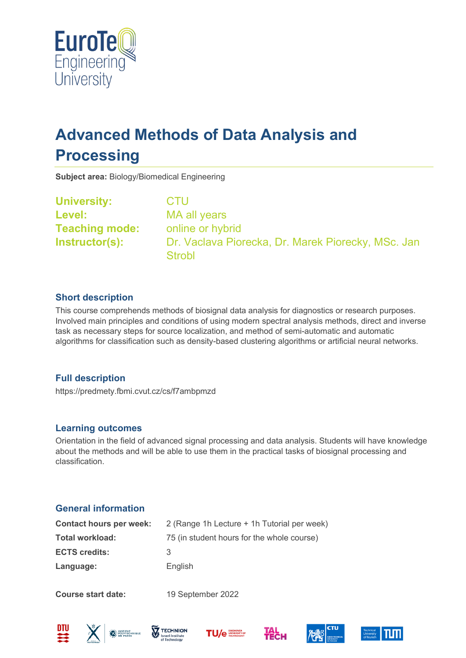

# **Advanced Methods of Data Analysis and Processing**

**Subject area:** Biology/Biomedical Engineering

**University:** CTU **Level:** MA all years **Teaching mode:** online or hybrid **Instructor(s):** Dr. Vaclava Piorecka, Dr. Marek Piorecky, MSc. Jan **Strobl** 

### **Short description**

This course comprehends methods of biosignal data analysis for diagnostics or research purposes. Involved main principles and conditions of using modern spectral analysis methods, direct and inverse task as necessary steps for source localization, and method of semi-automatic and automatic algorithms for classification such as density-based clustering algorithms or artificial neural networks.

## **Full description**

https://predmety.fbmi.cvut.cz/cs/f7ambpmzd

#### **Learning outcomes**

Orientation in the field of advanced signal processing and data analysis. Students will have knowledge about the methods and will be able to use them in the practical tasks of biosignal processing and classification.

## **General information**

| <b>Contact hours per week:</b> | 2 (Range 1h Lecture + 1h Tutorial per week) |
|--------------------------------|---------------------------------------------|
| <b>Total workload:</b>         | 75 (in student hours for the whole course)  |
| <b>ECTS credits:</b>           | З                                           |
| Language:                      | English                                     |
|                                |                                             |

**Course start date:** 19 September 2022











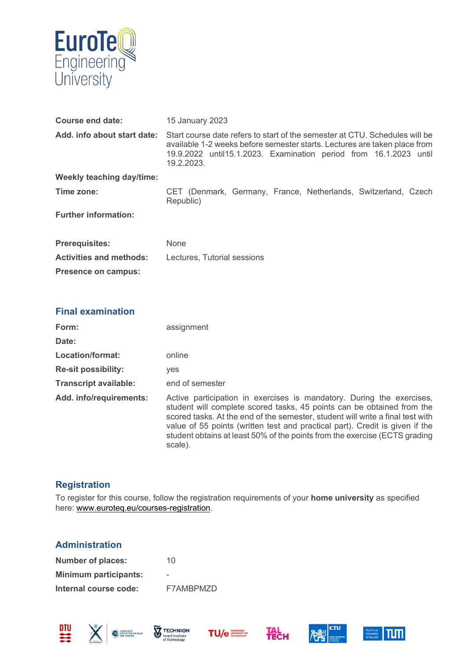

| <b>Course end date:</b>          | <b>15 January 2023</b>                                                                                                                                                                                                                      |
|----------------------------------|---------------------------------------------------------------------------------------------------------------------------------------------------------------------------------------------------------------------------------------------|
| Add. info about start date:      | Start course date refers to start of the semester at CTU. Schedules will be<br>available 1-2 weeks before semester starts. Lectures are taken place from<br>19.9.2022 until15.1.2023. Examination period from 16.1.2023 until<br>19.2.2023. |
| <b>Weekly teaching day/time:</b> |                                                                                                                                                                                                                                             |
| Time zone:                       | CET (Denmark, Germany, France, Netherlands, Switzerland, Czech<br>Republic)                                                                                                                                                                 |
| <b>Further information:</b>      |                                                                                                                                                                                                                                             |
| <b>Prerequisites:</b>            | <b>None</b>                                                                                                                                                                                                                                 |
| <b>Activities and methods:</b>   | Lectures, Tutorial sessions                                                                                                                                                                                                                 |
| <b>Presence on campus:</b>       |                                                                                                                                                                                                                                             |

#### **Final examination**

| Form:                        | assignment                                                                                                                                                                                                                                                                                                                                                                                                 |
|------------------------------|------------------------------------------------------------------------------------------------------------------------------------------------------------------------------------------------------------------------------------------------------------------------------------------------------------------------------------------------------------------------------------------------------------|
| Date:                        |                                                                                                                                                                                                                                                                                                                                                                                                            |
| Location/format:             | online                                                                                                                                                                                                                                                                                                                                                                                                     |
| <b>Re-sit possibility:</b>   | <b>ves</b>                                                                                                                                                                                                                                                                                                                                                                                                 |
| <b>Transcript available:</b> | end of semester                                                                                                                                                                                                                                                                                                                                                                                            |
| Add. info/requirements:      | Active participation in exercises is mandatory. During the exercises,<br>student will complete scored tasks, 45 points can be obtained from the<br>scored tasks. At the end of the semester, student will write a final test with<br>value of 55 points (written test and practical part). Credit is given if the<br>student obtains at least 50% of the points from the exercise (ECTS grading<br>scale). |

## **Registration**

To register for this course, follow the registration requirements of your **home university** as specified here: [www.euroteq.eu/courses-registration.](http://www.euroteq.eu/courses-registration)

#### **Administration**

| <b>Number of places:</b>     | 10        |
|------------------------------|-----------|
| <b>Minimum participants:</b> | -         |
| Internal course code:        | F7AMBPMZD |